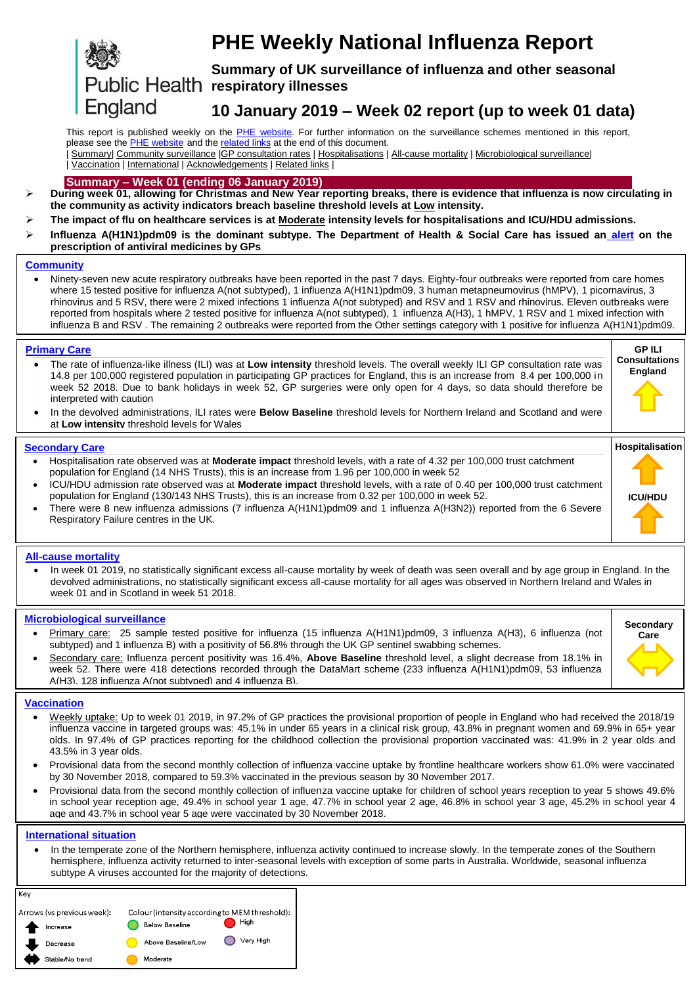

# **PHE Weekly National Influenza Report**

**Summary of UK surveillance of influenza and other seasonal**  Public Health respiratory illnesses

# <span id="page-0-0"></span>**10 January 2019 – Week 02 report (up to week 01 data)**

<span id="page-0-1"></span>This report is published weekly on the PHE [website.](https://www.gov.uk/government/publications/weekly-national-flu-reports) For further information on the surveillance schemes mentioned in this report, please see the **PHE** [website](https://www.gov.uk/sources-of-uk-flu-data-influenza-surveillance-in-the-uk) and th[e related links](#page-10-0) at the end of this document.

| [Summary|](#page-0-0) [Community surveillance](#page-1-0) [|GP consultation rates](#page-2-0) | [Hospitalisations](#page-3-0) [| All-cause mortality](#page-4-0) [| Microbiological surveillance|](#page-5-0)

| [Vaccination](#page-7-0) | [International](#page-8-0) | [Acknowledgements](#page-10-1) [| Related links](#page-10-0) |

# **Summary – Week 01 (ending 06 January 2019)**

 **During week 01, allowing for Christmas and New Year reporting breaks, there is evidence that influenza is now circulating in the community as activity indicators breach baseline threshold levels at Low intensity.**

- **The impact of flu on healthcare services is at Moderate intensity levels for hospitalisations and ICU/HDU admissions.**
- **Influenza A(H1N1)pdm09 is the dominant subtype. The Department of Health & Social Care has issued an [alert](https://www.cas.mhra.gov.uk/ViewandAcknowledgment/ViewAlert.aspx?AlertID=102824) on the prescription of antiviral medicines by GPs**

# **[Community](#page-1-0)**

 Ninety-seven new acute respiratory outbreaks have been reported in the past 7 days. Eighty-four outbreaks were reported from care homes where 15 tested positive for influenza A(not subtyped), 1 influenza A(H1N1)pdm09, 3 human metapneumovirus (hMPV), 1 picornavirus, 3 rhinovirus and 5 RSV, there were 2 mixed infections 1 influenza A(not subtyped) and RSV and 1 RSV and rhinovirus. Eleven outbreaks were reported from hospitals where 2 tested positive for influenza A(not subtyped), 1 influenza A(H3), 1 hMPV, 1 RSV and 1 mixed infection with influenza B and RSV . The remaining 2 outbreaks were reported from the Other settings category with 1 positive for influenza A(H1N1)pdm09.

# **[Primary Care](#page-2-0)**

- The rate of influenza-like illness (ILI) was at **Low intensity** threshold levels. The overall weekly ILI GP consultation rate was 14.8 per 100,000 registered population in participating GP practices for England, this is an increase from 8.4 per 100,000 in week 52 2018. Due to bank holidays in week 52, GP surgeries were only open for 4 days, so data should therefore be interpreted with caution **Consultations**
- In the devolved administrations, ILI rates were **Below Baseline** threshold levels for Northern Ireland and Scotland and were at **Low intensity** threshold levels for Wales

# **[Secondary Care](#page-3-0)**

- Hospitalisation rate observed was at **Moderate impact** threshold levels, with a rate of 4.32 per 100,000 trust catchment population for England (14 NHS Trusts), this is an increase from 1.96 per 100,000 in week 52
- ICU/HDU admission rate observed was at **Moderate impact** threshold levels, with a rate of 0.40 per 100,000 trust catchment population for England (130/143 NHS Trusts), this is an increase from 0.32 per 100,000 in week 52.
- There were 8 new influenza admissions (7 influenza A(H1N1)pdm09 and 1 influenza A(H3N2)) reported from the 6 Severe Respiratory Failure centres in the UK.

# **[All-cause mortality](#page-4-0)**

 In week 01 2019, no statistically significant excess all-cause mortality by week of death was seen overall and by age group in England. In the devolved administrations, no statistically significant excess all-cause mortality for all ages was observed in Northern Ireland and Wales in week 01 and in Scotland in week 51 2018.

# **[Microbiological surveillance](#page-5-0)**

- Primary care: 25 sample tested positive for influenza (15 influenza A(H1N1)pdm09, 3 influenza A(H3), 6 influenza (not subtyped) and 1 influenza B) with a positivity of 56.8% through the UK GP sentinel swabbing schemes.
- Secondary care: Influenza percent positivity was 16.4%, **Above Baseline** threshold level, a slight decrease from 18.1% in week 52. There were 418 detections recorded through the DataMart scheme (233 influenza A(H1N1)pdm09, 53 influenza A(H3), 128 influenza A(not subtyped) and 4 influenza B).



**GP ILI** 

**England**

**Hospitalisation**

**ICU/HDU**

# **[Vaccination](#page-7-0)**

- Weekly uptake: Up to week 01 2019, in 97.2% of GP practices the provisional proportion of people in England who had received the 2018/19 influenza vaccine in targeted groups was: 45.1% in under 65 years in a clinical risk group, 43.8% in pregnant women and 69.9% in 65+ year olds. In 97.4% of GP practices reporting for the childhood collection the provisional proportion vaccinated was: 41.9% in 2 year olds and 43.5% in 3 year olds.
- Provisional data from the second monthly collection of influenza vaccine uptake by frontline healthcare workers show 61.0% were vaccinated by 30 November 2018, compared to 59.3% vaccinated in the previous season by 30 November 2017.
- Provisional data from the second monthly collection of influenza vaccine uptake for children of school years reception to year 5 shows 49.6% in school year reception age, 49.4% in school year 1 age, 47.7% in school year 2 age, 46.8% in school year 3 age, 45.2% in school year 4 age and 43.7% in school year 5 age were vaccinated by 30 November 2018.

# **[International situation](#page-8-0)**

 In the temperate zone of the Northern hemisphere, influenza activity continued to increase slowly. In the temperate zones of the Southern hemisphere, influenza activity returned to inter-seasonal levels with exception of some parts in Australia. Worldwide, seasonal influenza subtype A viruses accounted for the majority of detections.

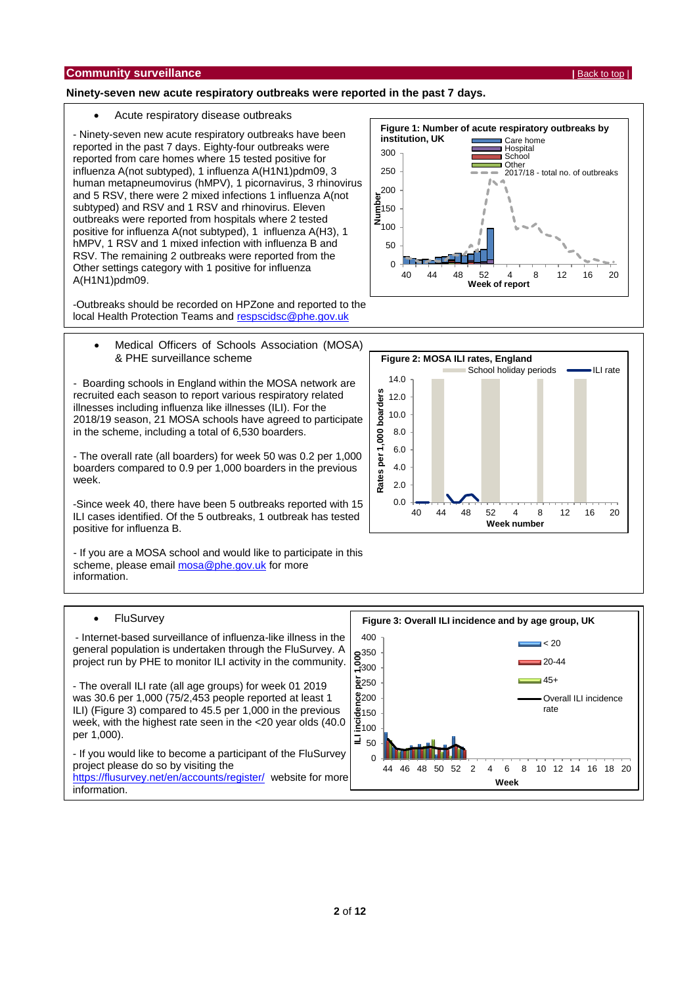# <span id="page-1-0"></span>**Ninety-seven new acute respiratory outbreaks were reported in the past 7 days.**

### Acute respiratory disease outbreaks

- Ninety-seven new acute respiratory outbreaks have been reported in the past 7 days. Eighty-four outbreaks were reported from care homes where 15 tested positive for influenza A(not subtyped), 1 influenza A(H1N1)pdm09, 3 human metapneumovirus (hMPV), 1 picornavirus, 3 rhinovirus and 5 RSV, there were 2 mixed infections 1 influenza A(not subtyped) and RSV and 1 RSV and rhinovirus. Eleven outbreaks were reported from hospitals where 2 tested positive for influenza A(not subtyped), 1 influenza A(H3), 1 hMPV, 1 RSV and 1 mixed infection with influenza B and RSV. The remaining 2 outbreaks were reported from the Other settings category with 1 positive for influenza A(H1N1)pdm09.

-Outbreaks should be recorded on HPZone and reported to the local Health Protection Teams and [respscidsc@phe.gov.uk](mailto:respscidsc@phe.gov.uk)

 Medical Officers of Schools Association (MOSA) & PHE surveillance scheme

- Boarding schools in England within the MOSA network are recruited each season to report various respiratory related illnesses including influenza like illnesses (ILI). For the 2018/19 season, 21 MOSA schools have agreed to participate in the scheme, including a total of 6,530 boarders.

- The overall rate (all boarders) for week 50 was 0.2 per 1,000 boarders compared to 0.9 per 1,000 boarders in the previous week.

-Since week 40, there have been 5 outbreaks reported with 15 ILI cases identified. Of the 5 outbreaks, 1 outbreak has tested positive for influenza B.

- If you are a MOSA school and would like to participate in this scheme, please email [mosa@phe.gov.uk](mailto:mosa@phe.gov.uk) for more information.

# **FluSurvey**

- Internet-based surveillance of influenza-like illness in the general population is undertaken through the FluSurvey. A project run by PHE to monitor ILI activity in the community.

- The overall ILI rate (all age groups) for week 01 2019 was 30.6 per 1,000 (75/2,453 people reported at least 1 ILI) (Figure 3) compared to 45.5 per 1,000 in the previous week, with the highest rate seen in the <20 year olds (40.0 per 1,000).

- If you would like to become a participant of the FluSurvey project please do so by visiting the <https://flusurvey.net/en/accounts/register/> website for more information.





### $\Omega$  $\overline{=}$  50 100 150  $200$  $250$ 300 350 400 44 46 48 50 52 2 4 6 8 10 12 14 16 18 20 **ILI incidence per 1,000 Week**   $& 20$  $-20 - 44$  $-45+$ Overall ILI incidence rate **Figure 3: Overall ILI incidence and by age group, UK**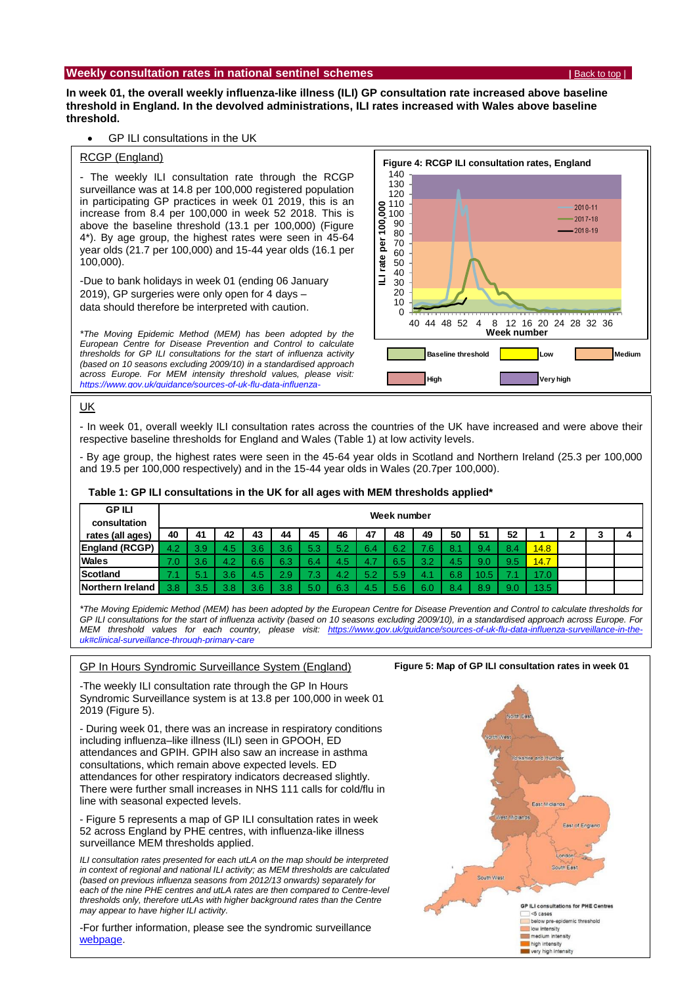# <span id="page-2-0"></span>**Weekly consultation rates in national sentinel schemes <b>by the set of the set of the set of the set of the set of the set of the set of the set of the set of the set of the set of the set of the set of the set of the set**

# **In week 01, the overall weekly influenza-like illness (ILI) GP consultation rate increased above baseline threshold in England. In the devolved administrations, ILI rates increased with Wales above baseline threshold.**

GP ILI consultations in the UK

# RCGP (England)

- The weekly ILI consultation rate through the RCGP surveillance was at 14.8 per 100,000 registered population in participating GP practices in week 01 2019, this is an increase from 8.4 per 100,000 in week 52 2018. This is above the baseline threshold (13.1 per 100,000) (Figure 4\*). By age group, the highest rates were seen in 45-64 year olds (21.7 per 100,000) and 15-44 year olds (16.1 per 100,000).

-Due to bank holidays in week 01 (ending 06 January 2019), GP surgeries were only open for 4 days – data should therefore be interpreted with caution.

*\*The Moving Epidemic Method (MEM) has been adopted by the European Centre for Disease Prevention and Control to calculate thresholds for GP ILI consultations for the start of influenza activity (based on 10 seasons excluding 2009/10) in a standardised approach across Europe. For MEM intensity threshold values, please visit: [https://www.gov.uk/guidance/sources-of-uk-flu-data-influenza-](https://www.gov.uk/guidance/sources-of-uk-flu-data-influenza-surveillance-in-the-uk#clinical-surveillance-through-primary-care)*

*[surveillance-in-the-uk#clinical-surveillance-through-primary-care](https://www.gov.uk/guidance/sources-of-uk-flu-data-influenza-surveillance-in-the-uk#clinical-surveillance-through-primary-care)*



# UK

- In week 01, overall weekly ILI consultation rates across the countries of the UK have increased and were above their respective baseline thresholds for England and Wales (Table 1) at low activity levels.

- By age group, the highest rates were seen in the 45-64 year olds in Scotland and Northern Ireland (25.3 per 100,000 and 19.5 per 100,000 respectively) and in the 15-44 year olds in Wales (20.7per 100,000).

# **Table 1: GP ILI consultations in the UK for all ages with MEM thresholds applied\***

| <b>GPILI</b><br>consultation | Week number |               |     |                  |     |     |     |     |     |     |     |      |     |                   |  |   |
|------------------------------|-------------|---------------|-----|------------------|-----|-----|-----|-----|-----|-----|-----|------|-----|-------------------|--|---|
| rates (all ages)             | 40          | 41            | 42  | 43               | 44  | 45  | 46  | 47  | 48  | 49  | 50  | 51   | 52  |                   |  | 4 |
| <b>England (RCGP)</b>        | 4.2         | 3.9           | 4.5 | 3.6              | 3.6 | 5.3 | 5.2 | 6.4 | 6.2 | 7.6 | 8.1 | 9.4  | 8.4 | 14.8              |  |   |
| <b>Wales</b>                 | 7.0         | 3.6           | 4.2 | 6.6              | 6.3 | 6.4 | 4.5 | 4.7 | 6.5 | 3.2 | 4.5 | 9.0  | 9.5 | 14.7              |  |   |
| Scotland                     | 7.1         | b             | 3.6 | 4.5              | 2.9 | - 3 | 4.2 | 5.2 | 5.9 | 4.1 | 6.8 | 10.5 |     | 17.0              |  |   |
| Northern Ireland             | 3.8         | $3.5^{\circ}$ | 3.8 | 3.6 <sup>1</sup> | 3.8 | 5(  | 6.3 | 4.5 | 5.6 | 6.0 | 8.4 | 8.9  | 9.0 | 13.5 <sub>1</sub> |  |   |

*\*The Moving Epidemic Method (MEM) has been adopted by the European Centre for Disease Prevention and Control to calculate thresholds for GP ILI consultations for the start of influenza activity (based on 10 seasons excluding 2009/10), in a standardised approach across Europe. For*  MEM threshold values for each country, please visit: [https://www.gov.uk/guidance/sources-of-uk-flu-data-influenza-surveillance-in-the](https://www.gov.uk/guidance/sources-of-uk-flu-data-influenza-surveillance-in-the-uk#clinical-surveillance-through-primary-care)*[uk#clinical-surveillance-through-primary-care](https://www.gov.uk/guidance/sources-of-uk-flu-data-influenza-surveillance-in-the-uk#clinical-surveillance-through-primary-care)*

# GP In Hours Syndromic Surveillance System (England)

-The weekly ILI consultation rate through the GP In Hours Syndromic Surveillance system is at 13.8 per 100,000 in week 01 2019 (Figure 5).

- During week 01, there was an increase in respiratory conditions including influenza–like illness (ILI) seen in GPOOH, ED attendances and GPIH. GPIH also saw an increase in asthma consultations, which remain above expected levels. ED attendances for other respiratory indicators decreased slightly. There were further small increases in NHS 111 calls for cold/flu in line with seasonal expected levels.

- Figure 5 represents a map of GP ILI consultation rates in week 52 across England by PHE centres, with influenza-like illness surveillance MEM thresholds applied.

*ILI consultation rates presented for each utLA on the map should be interpreted in context of regional and national ILI activity; as MEM thresholds are calculated (based on previous influenza seasons from 2012/13 onwards) separately for each of the nine PHE centres and utLA rates are then compared to Centre-level thresholds only, therefore utLAs with higher background rates than the Centre may appear to have higher ILI activity.* 

-For further information, please see the syndromic surveillance [webpage.](https://www.gov.uk/government/publications/gp-in-hours-weekly-bulletins-for-2019)

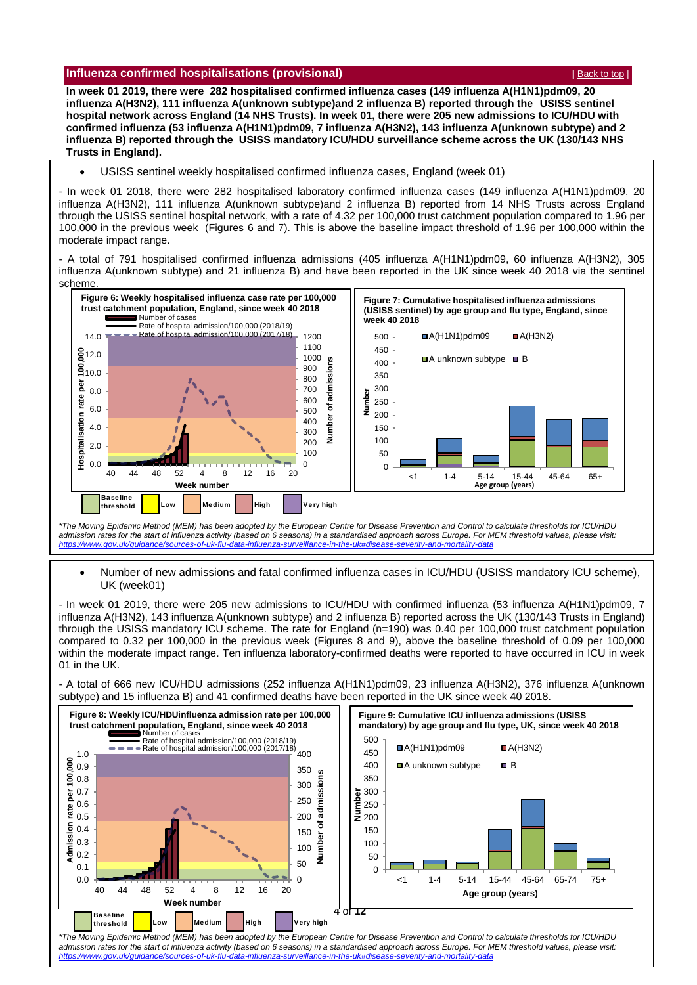# <span id="page-3-0"></span>**Influenza confirmed hospitalisations (provisional) <b>Alternative Confirmed Hospitalisations** ([Back to top](#page-0-1) | Back to top |

**In week 01 2019, there were 282 hospitalised confirmed influenza cases (149 influenza A(H1N1)pdm09, 20 influenza A(H3N2), 111 influenza A(unknown subtype)and 2 influenza B) reported through the USISS sentinel hospital network across England (14 NHS Trusts). In week 01, there were 205 new admissions to ICU/HDU with confirmed influenza (53 influenza A(H1N1)pdm09, 7 influenza A(H3N2), 143 influenza A(unknown subtype) and 2 influenza B) reported through the USISS mandatory ICU/HDU surveillance scheme across the UK (130/143 NHS Trusts in England).**

USISS sentinel weekly hospitalised confirmed influenza cases, England (week 01)

- In week 01 2018, there were 282 hospitalised laboratory confirmed influenza cases (149 influenza A(H1N1)pdm09, 20 influenza A(H3N2), 111 influenza A(unknown subtype)and 2 influenza B) reported from 14 NHS Trusts across England through the USISS sentinel hospital network, with a rate of 4.32 per 100,000 trust catchment population compared to 1.96 per 100,000 in the previous week (Figures 6 and 7). This is above the baseline impact threshold of 1.96 per 100,000 within the moderate impact range.

- A total of 791 hospitalised confirmed influenza admissions (405 influenza A(H1N1)pdm09, 60 influenza A(H3N2), 305 influenza A(unknown subtype) and 21 influenza B) and have been reported in the UK since week 40 2018 via the sentinel scheme.



*\*The Moving Epidemic Method (MEM) has been adopted by the European Centre for Disease Prevention and Control to calculate thresholds for ICU/HDU*  admission rates for the start of influenza activity (based on 6 seasons) in a standardised approach across Europe. For MEM threshold values, please visit:<br>https://www.gov.uk/quidance/sources-of-uk-flu-data-influenza-survei *<https://www.gov.uk/guidance/sources-of-uk-flu-data-influenza-surveillance-in-the-uk#disease-severity-and-mortality-data>*

 Number of new admissions and fatal confirmed influenza cases in ICU/HDU (USISS mandatory ICU scheme), UK (week01)

- In week 01 2019, there were 205 new admissions to ICU/HDU with confirmed influenza (53 influenza A(H1N1)pdm09, 7 influenza A(H3N2), 143 influenza A(unknown subtype) and 2 influenza B) reported across the UK (130/143 Trusts in England) through the USISS mandatory ICU scheme. The rate for England (n=190) was 0.40 per 100,000 trust catchment population compared to 0.32 per 100,000 in the previous week (Figures 8 and 9), above the baseline threshold of 0.09 per 100,000 within the moderate impact range. Ten influenza laboratory-confirmed deaths were reported to have occurred in ICU in week 01 in the UK.

- A total of 666 new ICU/HDU admissions (252 influenza A(H1N1)pdm09, 23 influenza A(H3N2), 376 influenza A(unknown subtype) and 15 influenza B) and 41 confirmed deaths have been reported in the UK since week 40 2018.



*<https://www.gov.uk/guidance/sources-of-uk-flu-data-influenza-surveillance-in-the-uk#disease-severity-and-mortality-data>*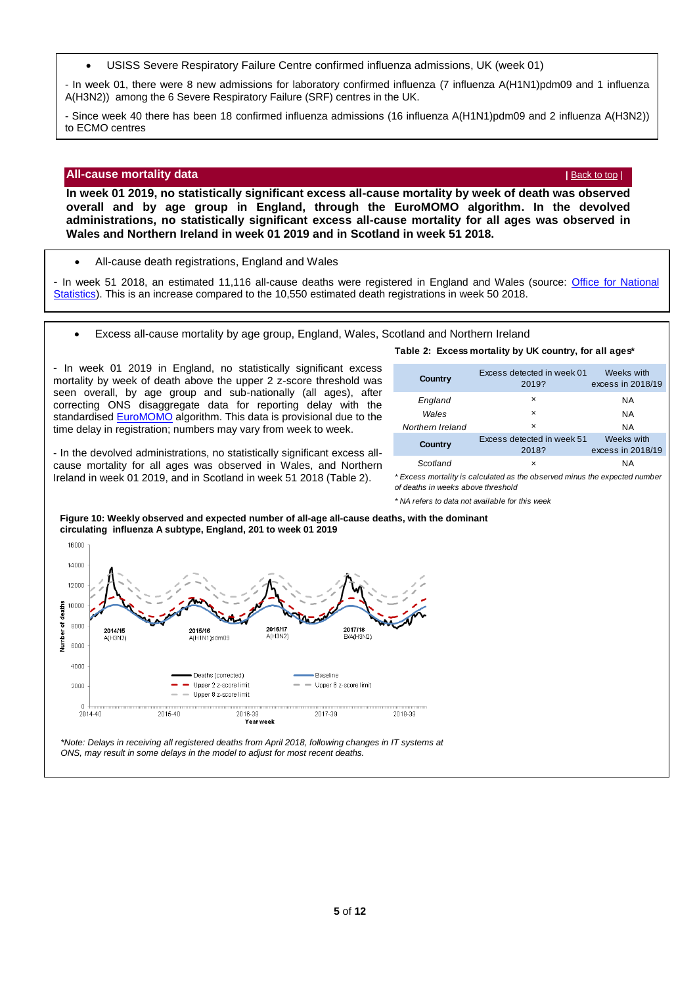USISS Severe Respiratory Failure Centre confirmed influenza admissions, UK (week 01)

<span id="page-4-0"></span>- In week 01, there were 8 new admissions for laboratory confirmed influenza (7 influenza A(H1N1)pdm09 and 1 influenza A(H3N2)) among the 6 Severe Respiratory Failure (SRF) centres in the UK.

- Since week 40 there has been 18 confirmed influenza admissions (16 influenza A(H1N1)pdm09 and 2 influenza A(H3N2)) to ECMO centres

# **All-cause mortality data** *<b>All-cause mortality data [Back to top](#page-0-1) | <b>Back to top | Back to top | Back to top | Back to top | Back to top | Back to top | Back to top | Back to top | Back to top | Back*

**In week 01 2019, no statistically significant excess all-cause mortality by week of death was observed overall and by age group in England, through the EuroMOMO algorithm. In the devolved administrations, no statistically significant excess all-cause mortality for all ages was observed in Wales and Northern Ireland in week 01 2019 and in Scotland in week 51 2018.**

All-cause death registrations, England and Wales

- In week 51 2018, an estimated 11,116 all-cause deaths were registered in England and Wales (source: [Office for National](http://www.ons.gov.uk/peoplepopulationandcommunity/birthsdeathsandmarriages/deaths/datasets/weeklyprovisionalfiguresondeathsregisteredinenglandandwales)  [Statistics\)](http://www.ons.gov.uk/peoplepopulationandcommunity/birthsdeathsandmarriages/deaths/datasets/weeklyprovisionalfiguresondeathsregisteredinenglandandwales). This is an increase compared to the 10,550 estimated death registrations in week 50 2018.

Excess all-cause mortality by age group, England, Wales, Scotland and Northern Ireland

- In week 01 2019 in England, no statistically significant excess mortality by week of death above the upper 2 z-score threshold was seen overall, by age group and sub-nationally (all ages), after correcting ONS disaggregate data for reporting delay with the standardise[d EuroMOMO](http://www.euromomo.eu/) algorithm. This data is provisional due to the time delay in registration; numbers may vary from week to week.

- In the devolved administrations, no statistically significant excess allcause mortality for all ages was observed in Wales, and Northern Ireland in week 01 2019, and in Scotland in week 51 2018 (Table 2).

# **Table 2: Excess mortality by UK country, for all ages\***

| Country          | Excess detected in week 01<br>2019? | Weeks with<br>excess in 2018/19 |
|------------------|-------------------------------------|---------------------------------|
| England          | ×                                   | NA                              |
| Wales            | ×                                   | NA.                             |
| Northern Ireland | ×                                   | <b>NA</b>                       |
| Country          | Excess detected in week 51<br>2018? | Weeks with<br>excess in 2018/19 |
| Scotland         | ×                                   | ΝA                              |

*\* Excess mortality is calculated as the observed minus the expected number of deaths in weeks above threshold* 

*\* NA refers to data not available for this week*

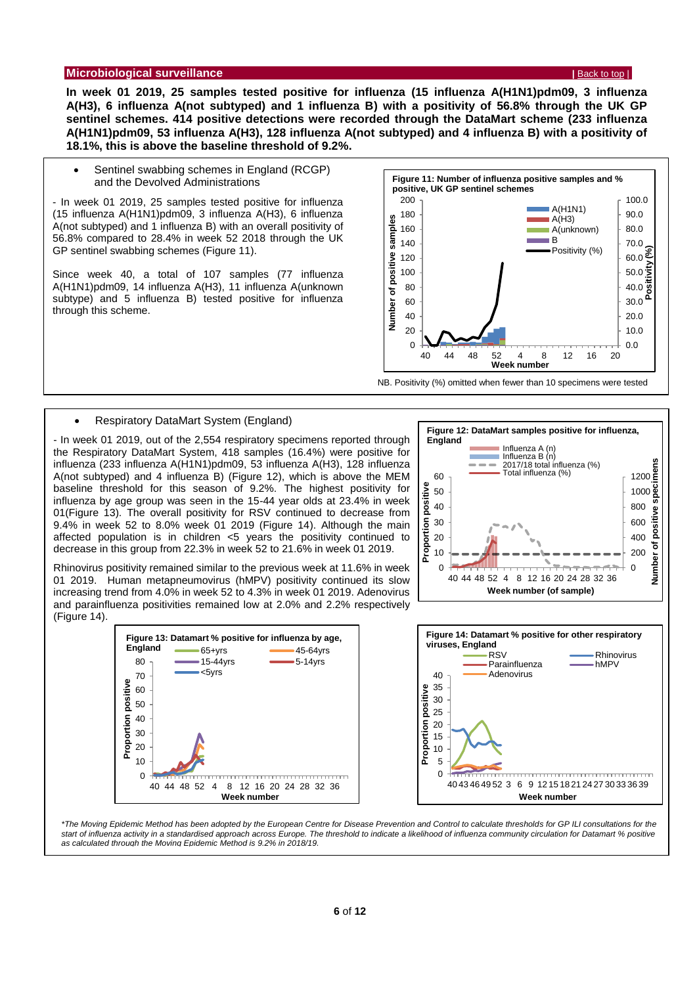# <span id="page-5-0"></span>**Microbiological surveillance |** [Back to top](#page-0-1) |

**In week 01 2019, 25 samples tested positive for influenza (15 influenza A(H1N1)pdm09, 3 influenza A(H3), 6 influenza A(not subtyped) and 1 influenza B) with a positivity of 56.8% through the UK GP sentinel schemes. 414 positive detections were recorded through the DataMart scheme (233 influenza A(H1N1)pdm09, 53 influenza A(H3), 128 influenza A(not subtyped) and 4 influenza B) with a positivity of 18.1%, this is above the baseline threshold of 9.2%.**

 Sentinel swabbing schemes in England (RCGP) and the Devolved Administrations

- In week 01 2019, 25 samples tested positive for influenza (15 influenza A(H1N1)pdm09, 3 influenza A(H3), 6 influenza A(not subtyped) and 1 influenza B) with an overall positivity of 56.8% compared to 28.4% in week 52 2018 through the UK GP sentinel swabbing schemes (Figure 11).

Since week 40, a total of 107 samples (77 influenza A(H1N1)pdm09, 14 influenza A(H3), 11 influenza A(unknown subtype) and 5 influenza B) tested positive for influenza through this scheme.



NB. Positivity (%) omitted when fewer than 10 specimens were tested

# Respiratory DataMart System (England)

- In week 01 2019, out of the 2,554 respiratory specimens reported through the Respiratory DataMart System, 418 samples (16.4%) were positive for influenza (233 influenza A(H1N1)pdm09, 53 influenza A(H3), 128 influenza A(not subtyped) and 4 influenza B) (Figure 12), which is above the MEM baseline threshold for this season of 9.2%. The highest positivity for influenza by age group was seen in the 15-44 year olds at 23.4% in week 01(Figure 13). The overall positivity for RSV continued to decrease from 9.4% in week 52 to 8.0% week 01 2019 (Figure 14). Although the main affected population is in children <5 years the positivity continued to decrease in this group from 22.3% in week 52 to 21.6% in week 01 2019.

Rhinovirus positivity remained similar to the previous week at 11.6% in week 01 2019. Human metapneumovirus (hMPV) positivity continued its slow increasing trend from 4.0% in week 52 to 4.3% in week 01 2019. Adenovirus and parainfluenza positivities remained low at 2.0% and 2.2% respectively (Figure 14).







*\*The Moving Epidemic Method has been adopted by the European Centre for Disease Prevention and Control to calculate thresholds for GP ILI consultations for the*  start of influenza activity in a standardised approach across Europe. The threshold to indicate a likelihood of influenza community circulation for Datamart % positive *as calculated through the Moving Epidemic Method is 9.2% in 2018/19.*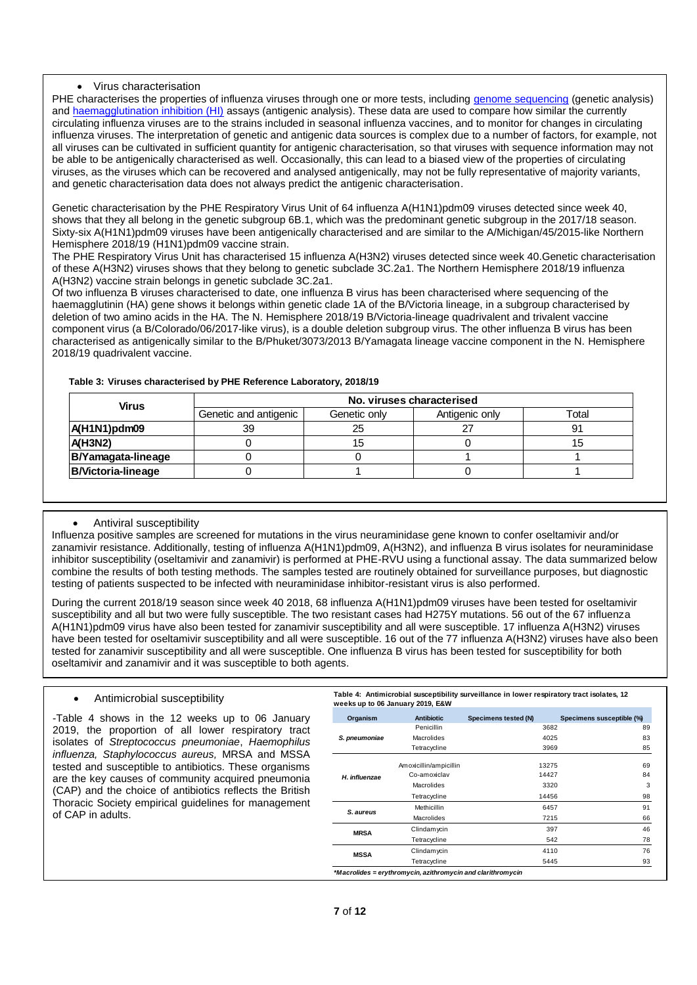# Virus characterisation

PHE characterises the properties of influenza viruses through one or more tests, including [genome sequencing](http://www.cdc.gov/flu/professionals/laboratory/genetic-characterization.htm) (genetic analysis) and [haemagglutination inhibition \(HI\)](http://www.cdc.gov/flu/professionals/laboratory/antigenic.htm) assays (antigenic analysis). These data are used to compare how similar the currently circulating influenza viruses are to the strains included in seasonal influenza vaccines, and to monitor for changes in circulating influenza viruses. The interpretation of genetic and antigenic data sources is complex due to a number of factors, for example, not all viruses can be cultivated in sufficient quantity for antigenic characterisation, so that viruses with sequence information may not be able to be antigenically characterised as well. Occasionally, this can lead to a biased view of the properties of circulating viruses, as the viruses which can be recovered and analysed antigenically, may not be fully representative of majority variants, and genetic characterisation data does not always predict the antigenic characterisation.

Genetic characterisation by the PHE Respiratory Virus Unit of 64 influenza A(H1N1)pdm09 viruses detected since week 40, shows that they all belong in the genetic subgroup 6B.1, which was the predominant genetic subgroup in the 2017/18 season. Sixty-six A(H1N1)pdm09 viruses have been antigenically characterised and are similar to the A/Michigan/45/2015-like Northern Hemisphere 2018/19 (H1N1)pdm09 vaccine strain.

The PHE Respiratory Virus Unit has characterised 15 influenza A(H3N2) viruses detected since week 40.Genetic characterisation of these A(H3N2) viruses shows that they belong to genetic subclade 3C.2a1. The Northern Hemisphere 2018/19 influenza A(H3N2) vaccine strain belongs in genetic subclade 3C.2a1.

Of two influenza B viruses characterised to date, one influenza B virus has been characterised where sequencing of the haemagglutinin (HA) gene shows it belongs within genetic clade 1A of the B/Victoria lineage, in a subgroup characterised by deletion of two amino acids in the HA. The N. Hemisphere 2018/19 B/Victoria-lineage quadrivalent and trivalent vaccine component virus (a B/Colorado/06/2017-like virus), is a double deletion subgroup virus. The other influenza B virus has been characterised as antigenically similar to the B/Phuket/3073/2013 B/Yamagata lineage vaccine component in the N. Hemisphere 2018/19 quadrivalent vaccine.

| Virus                     | No. viruses characterised |              |                |       |  |  |
|---------------------------|---------------------------|--------------|----------------|-------|--|--|
|                           | Genetic and antigenic     | Genetic only | Antigenic only | Total |  |  |
| A(H1N1)pdm09              | 39                        | 25           |                | 91    |  |  |
| A(H3N2)                   |                           | 15           |                | 15    |  |  |
| B/Yamagata-lineage        |                           |              |                |       |  |  |
| <b>B/Victoria-lineage</b> |                           |              |                |       |  |  |

### **Table 3: Viruses characterised by PHE Reference Laboratory, 2018/19**

# Antiviral susceptibility

Influenza positive samples are screened for mutations in the virus neuraminidase gene known to confer oseltamivir and/or zanamivir resistance. Additionally, testing of influenza A(H1N1)pdm09, A(H3N2), and influenza B virus isolates for neuraminidase inhibitor susceptibility (oseltamivir and zanamivir) is performed at PHE-RVU using a functional assay. The data summarized below combine the results of both testing methods. The samples tested are routinely obtained for surveillance purposes, but diagnostic testing of patients suspected to be infected with neuraminidase inhibitor-resistant virus is also performed.

During the current 2018/19 season since week 40 2018, 68 influenza A(H1N1)pdm09 viruses have been tested for oseltamivir susceptibility and all but two were fully susceptible. The two resistant cases had H275Y mutations. 56 out of the 67 influenza A(H1N1)pdm09 virus have also been tested for zanamivir susceptibility and all were susceptible. 17 influenza A(H3N2) viruses have been tested for oseltamivir susceptibility and all were susceptible. 16 out of the 77 influenza A(H3N2) viruses have also been tested for zanamivir susceptibility and all were susceptible. One influenza B virus has been tested for susceptibility for both oseltamivir and zanamivir and it was susceptible to both agents.

# Antimicrobial susceptibility

-Table 4 shows in the 12 weeks up to 06 January 2019, the proportion of all lower respiratory tract isolates of *Streptococcus pneumoniae*, *Haemophilus influenza, Staphylococcus aureus,* MRSA and MSSA tested and susceptible to antibiotics. These organisms are the key causes of community acquired pneumonia (CAP) and the choice of antibiotics reflects the British Thoracic Society empirical guidelines for management of CAP in adults.

| Table 4: Antimicrobial susceptibility surveillance in lower respiratory tract isolates, 12<br>weeks up to 06 January 2019, E&W |                        |                      |                           |  |  |  |
|--------------------------------------------------------------------------------------------------------------------------------|------------------------|----------------------|---------------------------|--|--|--|
|                                                                                                                                |                        |                      |                           |  |  |  |
| Organism                                                                                                                       | <b>Antibiotic</b>      | Specimens tested (N) | Specimens susceptible (%) |  |  |  |
| S. pneumoniae                                                                                                                  | Penicillin             | 3682                 | 89                        |  |  |  |
|                                                                                                                                | Macrolides             | 4025                 | 83                        |  |  |  |
|                                                                                                                                | Tetracycline           | 3969                 | 85                        |  |  |  |
|                                                                                                                                | Amoxicillin/ampicillin | 13275                | 69                        |  |  |  |
| H. influenzae                                                                                                                  | Co-amoxiclav           | 14427                | 84                        |  |  |  |
|                                                                                                                                | Macrolides             | 3320                 | 3                         |  |  |  |
|                                                                                                                                | Tetracycline           | 14456                | 98                        |  |  |  |
| S. aureus                                                                                                                      | Methicillin            | 6457                 | 91                        |  |  |  |
|                                                                                                                                | Macrolides             | 7215                 | 66                        |  |  |  |
| <b>MRSA</b>                                                                                                                    | Clindamycin            | 397                  | 46                        |  |  |  |
|                                                                                                                                | Tetracycline           | 542                  | 78                        |  |  |  |
| <b>MSSA</b>                                                                                                                    | Clindamycin            | 4110                 | 76                        |  |  |  |
|                                                                                                                                | Tetracycline           | 5445                 | 93                        |  |  |  |
| *Macrolides = erythromycin, azithromycin and clarithromycin                                                                    |                        |                      |                           |  |  |  |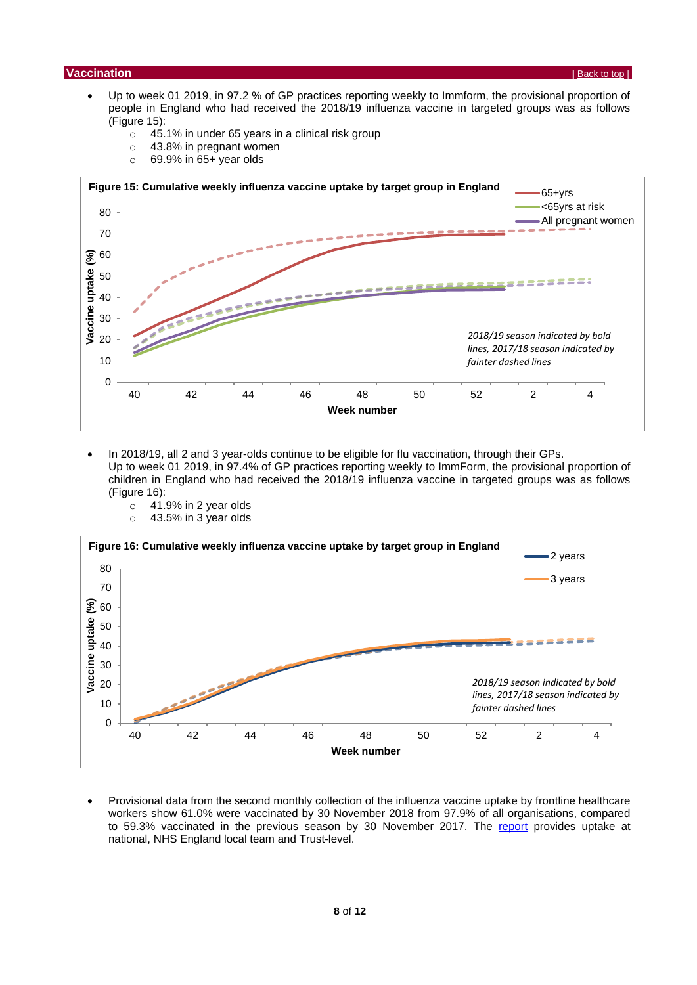# <span id="page-7-0"></span>**| Vaccination** | **[Back to top](#page-0-1) | <b>Back to top | Back to top | <b>Back** to top | **Back** to top | **Back** to top | **Back** to top | **Back** to top | **Back** to top | **Back** to top | **Back** to top | **Back** to top | **Back** to top

- Up to week 01 2019, in 97.2 % of GP practices reporting weekly to Immform, the provisional proportion of people in England who had received the 2018/19 influenza vaccine in targeted groups was as follows (Figure 15):
	- o 45.1% in under 65 years in a clinical risk group
	- o 43.8% in pregnant women
	- $\circ$  69.9% in 65+ year olds



- In 2018/19, all 2 and 3 year-olds continue to be eligible for flu vaccination, through their GPs. Up to week 01 2019, in 97.4% of GP practices reporting weekly to ImmForm, the provisional proportion of children in England who had received the 2018/19 influenza vaccine in targeted groups was as follows (Figure 16):
	- $\circ$  41.9% in 2 year olds
	- o 43.5% in 3 year olds



 Provisional data from the second monthly collection of the influenza vaccine uptake by frontline healthcare workers show 61.0% were vaccinated by 30 November 2018 from 97.9% of all organisations, compared to 59.3% vaccinated in the previous season by 30 November 2017. The [report](https://www.gov.uk/government/collections/vaccine-uptake#seasonal-flu-vaccine-uptake:-figures) provides uptake at national, NHS England local team and Trust-level.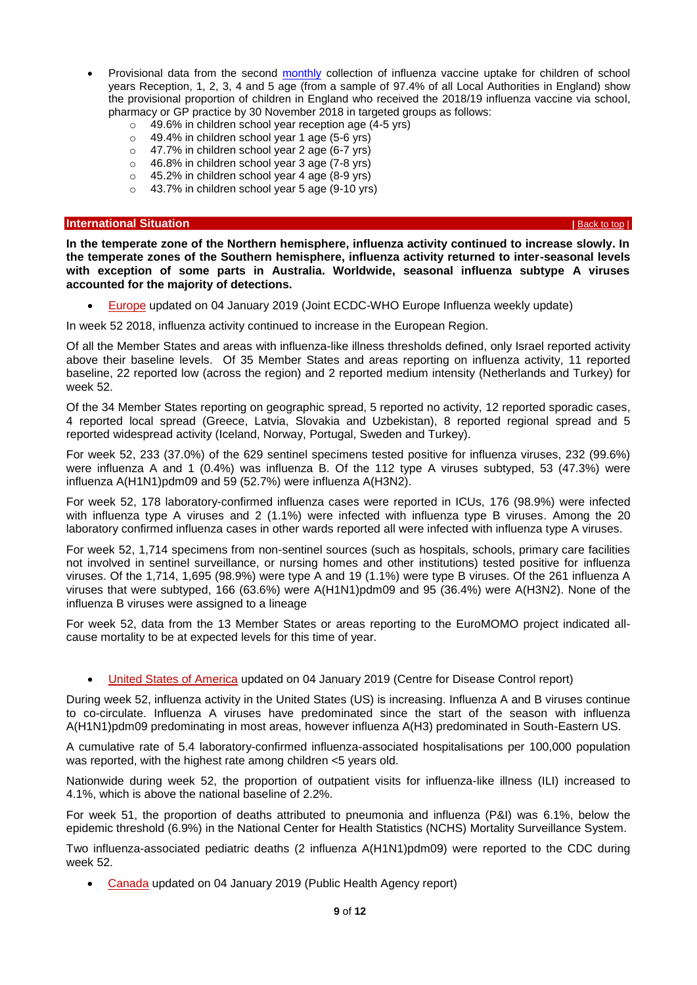- Provisional data from the second [monthly](https://www.gov.uk/government/collections/vaccine-uptake#seasonal-flu-vaccine-uptake:-figures) collection of influenza vaccine uptake for children of school years Reception, 1, 2, 3, 4 and 5 age (from a sample of 97.4% of all Local Authorities in England) show the provisional proportion of children in England who received the 2018/19 influenza vaccine via school, pharmacy or GP practice by 30 November 2018 in targeted groups as follows:
	- $\circ$  49.6% in children school year reception age  $(4-5 \text{ yrs})$
	- o 49.4% in children school year 1 age (5-6 yrs)
	- o 47.7% in children school year 2 age (6-7 yrs)
	- o 46.8% in children school year 3 age (7-8 yrs)
	- o 45.2% in children school year 4 age (8-9 yrs)
	- $\circ$  43.7% in children school year 5 age (9-10 yrs)

# <span id="page-8-0"></span>**| International Situation** *|* **<b>[Back to top](#page-0-1) | Back to top | Back to top | Back to top | Back to top | Back to top | Back to top | Back to top | Back to top | Back to top | Back to top | Back to top**

**In the temperate zone of the Northern hemisphere, influenza activity continued to increase slowly. In the temperate zones of the Southern hemisphere, influenza activity returned to inter-seasonal levels with exception of some parts in Australia. Worldwide, seasonal influenza subtype A viruses accounted for the majority of detections.**

[Europe](http://flunewseurope.org/) updated on 04 January 2019 (Joint ECDC-WHO Europe Influenza weekly update)

In week 52 2018, influenza activity continued to increase in the European Region.

Of all the Member States and areas with influenza-like illness thresholds defined, only Israel reported activity above their baseline levels. Of 35 Member States and areas reporting on influenza activity, 11 reported baseline, 22 reported low (across the region) and 2 reported medium intensity (Netherlands and Turkey) for week 52.

Of the 34 Member States reporting on geographic spread, 5 reported no activity, 12 reported sporadic cases, 4 reported local spread (Greece, Latvia, Slovakia and Uzbekistan), 8 reported regional spread and 5 reported widespread activity (Iceland, Norway, Portugal, Sweden and Turkey).

For week 52, 233 (37.0%) of the 629 sentinel specimens tested positive for influenza viruses, 232 (99.6%) were influenza A and 1 (0.4%) was influenza B. Of the 112 type A viruses subtyped, 53 (47.3%) were influenza A(H1N1)pdm09 and 59 (52.7%) were influenza A(H3N2).

For week 52, 178 laboratory-confirmed influenza cases were reported in ICUs, 176 (98.9%) were infected with influenza type A viruses and 2 (1.1%) were infected with influenza type B viruses. Among the 20 laboratory confirmed influenza cases in other wards reported all were infected with influenza type A viruses.

For week 52, 1,714 specimens from non-sentinel sources (such as hospitals, schools, primary care facilities not involved in sentinel surveillance, or nursing homes and other institutions) tested positive for influenza viruses. Of the 1,714, 1,695 (98.9%) were type A and 19 (1.1%) were type B viruses. Of the 261 influenza A viruses that were subtyped, 166 (63.6%) were A(H1N1)pdm09 and 95 (36.4%) were A(H3N2). None of the influenza B viruses were assigned to a lineage

For week 52, data from the 13 Member States or areas reporting to the EuroMOMO project indicated allcause mortality to be at expected levels for this time of year.

# [United States of America](http://www.cdc.gov/flu/weekly/) updated on 04 January 2019 (Centre for Disease Control report)

During week 52, influenza activity in the United States (US) is increasing. Influenza A and B viruses continue to co-circulate. Influenza A viruses have predominated since the start of the season with influenza A(H1N1)pdm09 predominating in most areas, however influenza A(H3) predominated in South-Eastern US.

A cumulative rate of 5.4 laboratory-confirmed influenza-associated hospitalisations per 100,000 population was reported, with the highest rate among children <5 years old.

Nationwide during week 52, the proportion of outpatient visits for influenza-like illness (ILI) increased to 4.1%, which is above the national baseline of 2.2%.

For week 51, the proportion of deaths attributed to pneumonia and influenza (P&I) was 6.1%, below the epidemic threshold (6.9%) in the National Center for Health Statistics (NCHS) Mortality Surveillance System.

Two influenza-associated pediatric deaths (2 influenza A(H1N1)pdm09) were reported to the CDC during week 52.

[Canada](http://healthycanadians.gc.ca/diseases-conditions-maladies-affections/disease-maladie/flu-grippe/surveillance/fluwatch-reports-rapports-surveillance-influenza-eng.php) updated on 04 January 2019 (Public Health Agency report)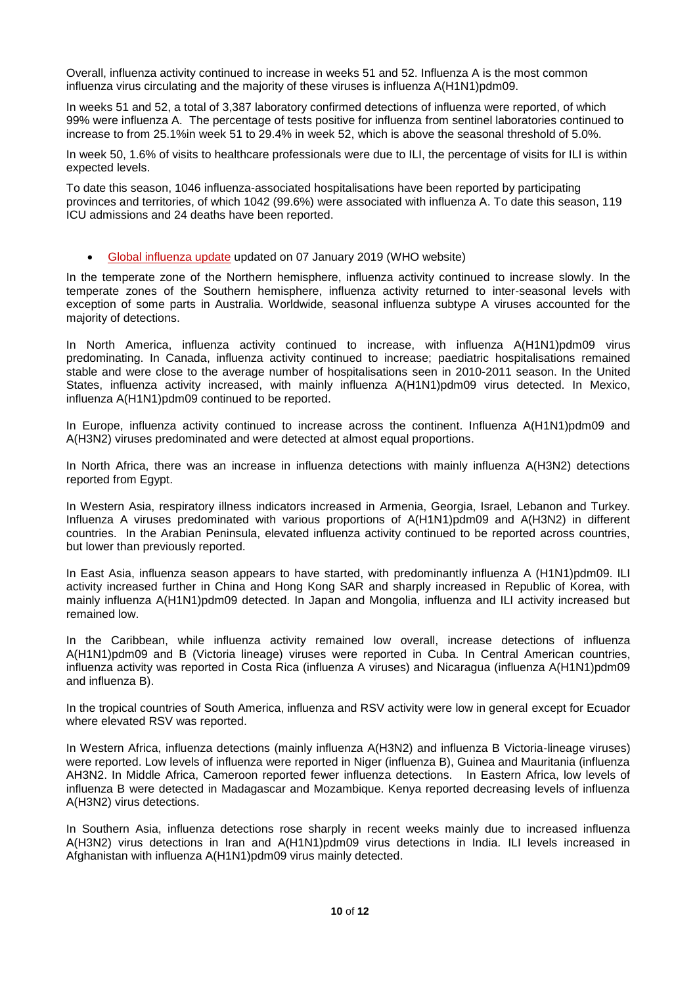Overall, influenza activity continued to increase in weeks 51 and 52. Influenza A is the most common influenza virus circulating and the majority of these viruses is influenza A(H1N1)pdm09.

In weeks 51 and 52, a total of 3,387 laboratory confirmed detections of influenza were reported, of which 99% were influenza A. The percentage of tests positive for influenza from sentinel laboratories continued to increase to from 25.1%in week 51 to 29.4% in week 52, which is above the seasonal threshold of 5.0%.

In week 50, 1.6% of visits to healthcare professionals were due to ILI, the percentage of visits for ILI is within expected levels.

To date this season, 1046 influenza-associated hospitalisations have been reported by participating provinces and territories, of which 1042 (99.6%) were associated with influenza A. To date this season, 119 ICU admissions and 24 deaths have been reported.

[Global influenza update](http://www.who.int/influenza/surveillance_monitoring/updates/latest_update_GIP_surveillance/en/index.html) updated on 07 January 2019 (WHO website)

In the temperate zone of the Northern hemisphere, influenza activity continued to increase slowly. In the temperate zones of the Southern hemisphere, influenza activity returned to inter-seasonal levels with exception of some parts in Australia. Worldwide, seasonal influenza subtype A viruses accounted for the majority of detections.

In North America, influenza activity continued to increase, with influenza A(H1N1)pdm09 virus predominating. In Canada, influenza activity continued to increase; paediatric hospitalisations remained stable and were close to the average number of hospitalisations seen in 2010-2011 season. In the United States, influenza activity increased, with mainly influenza A(H1N1)pdm09 virus detected. In Mexico, influenza A(H1N1)pdm09 continued to be reported.

In Europe, influenza activity continued to increase across the continent. Influenza A(H1N1)pdm09 and A(H3N2) viruses predominated and were detected at almost equal proportions.

In North Africa, there was an increase in influenza detections with mainly influenza A(H3N2) detections reported from Egypt.

In Western Asia, respiratory illness indicators increased in Armenia, Georgia, Israel, Lebanon and Turkey. Influenza A viruses predominated with various proportions of A(H1N1)pdm09 and A(H3N2) in different countries. In the Arabian Peninsula, elevated influenza activity continued to be reported across countries, but lower than previously reported.

In East Asia, influenza season appears to have started, with predominantly influenza A (H1N1)pdm09. ILI activity increased further in China and Hong Kong SAR and sharply increased in Republic of Korea, with mainly influenza A(H1N1)pdm09 detected. In Japan and Mongolia, influenza and ILI activity increased but remained low.

In the Caribbean, while influenza activity remained low overall, increase detections of influenza A(H1N1)pdm09 and B (Victoria lineage) viruses were reported in Cuba. In Central American countries, influenza activity was reported in Costa Rica (influenza A viruses) and Nicaragua (influenza A(H1N1)pdm09 and influenza B).

In the tropical countries of South America, influenza and RSV activity were low in general except for Ecuador where elevated RSV was reported.

In Western Africa, influenza detections (mainly influenza A(H3N2) and influenza B Victoria-lineage viruses) were reported. Low levels of influenza were reported in Niger (influenza B), Guinea and Mauritania (influenza AH3N2. In Middle Africa, Cameroon reported fewer influenza detections. In Eastern Africa, low levels of influenza B were detected in Madagascar and Mozambique. Kenya reported decreasing levels of influenza A(H3N2) virus detections.

In Southern Asia, influenza detections rose sharply in recent weeks mainly due to increased influenza A(H3N2) virus detections in Iran and A(H1N1)pdm09 virus detections in India. ILI levels increased in Afghanistan with influenza A(H1N1)pdm09 virus mainly detected.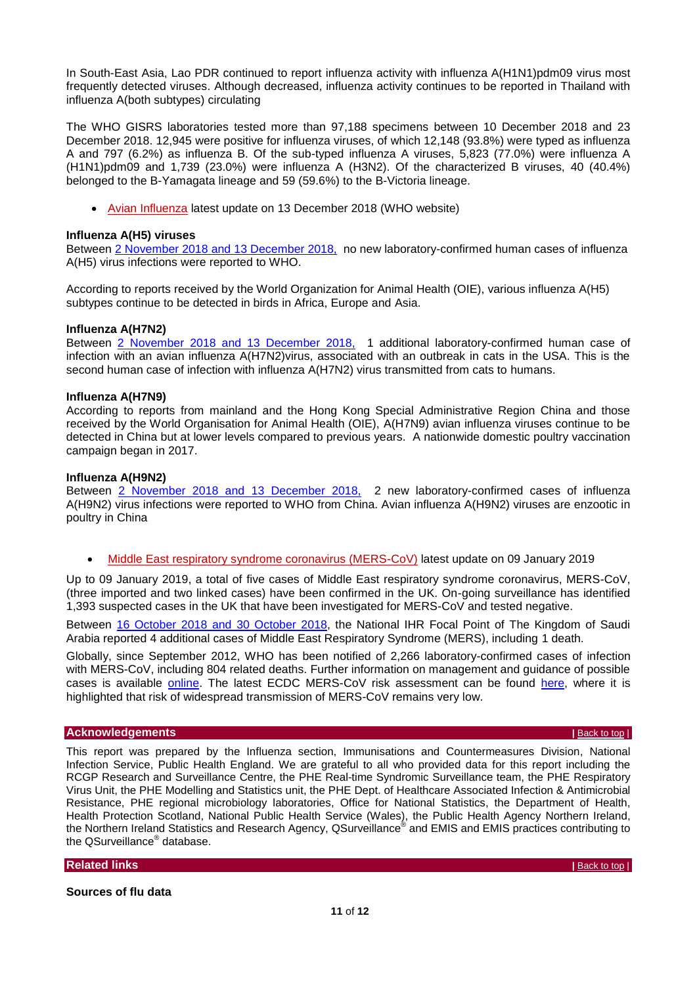In South-East Asia, Lao PDR continued to report influenza activity with influenza A(H1N1)pdm09 virus most frequently detected viruses. Although decreased, influenza activity continues to be reported in Thailand with influenza A(both subtypes) circulating

The WHO GISRS laboratories tested more than 97,188 specimens between 10 December 2018 and 23 December 2018. 12,945 were positive for influenza viruses, of which 12,148 (93.8%) were typed as influenza A and 797 (6.2%) as influenza B. Of the sub-typed influenza A viruses, 5,823 (77.0%) were influenza A (H1N1)pdm09 and 1,739 (23.0%) were influenza A (H3N2). Of the characterized B viruses, 40 (40.4%) belonged to the B-Yamagata lineage and 59 (59.6%) to the B-Victoria lineage.

[Avian Influenza](http://www.who.int/csr/disease/avian_influenza/en/) latest update on 13 December 2018 (WHO website)

# **Influenza A(H5) viruses**

Between 2 November 2018 and 13 [December 2018,](https://www.who.int/influenza/human_animal_interface/Influenza_Summary_IRA_HA_interface_13_12_2018_FINAL.pdf?ua=1) no new laboratory-confirmed human cases of influenza A(H5) virus infections were reported to WHO.

According to reports received by the World Organization for Animal Health (OIE), various influenza A(H5) subtypes continue to be detected in birds in Africa, Europe and Asia.

# **Influenza A(H7N2)**

Between 2 November [2018 and 13 December 2018,](https://www.who.int/influenza/human_animal_interface/Influenza_Summary_IRA_HA_interface_13_12_2018_FINAL.pdf?ua=1) 1 additional laboratory-confirmed human case of infection with an avian influenza A(H7N2)virus, associated with an outbreak in cats in the USA. This is the second human case of infection with influenza A(H7N2) virus transmitted from cats to humans.

# **Influenza A(H7N9)**

According to reports from mainland and the Hong Kong Special Administrative Region China and those received by the World Organisation for Animal Health (OIE), A(H7N9) avian influenza viruses continue to be detected in China but at lower levels compared to previous years. A nationwide domestic poultry vaccination campaign began in 2017.

# **Influenza A(H9N2)**

Between 2 November [2018 and 13 December 2018,](https://www.who.int/influenza/human_animal_interface/Influenza_Summary_IRA_HA_interface_13_12_2018_FINAL.pdf?ua=1) 2 new laboratory-confirmed cases of influenza A(H9N2) virus infections were reported to WHO from China. Avian influenza A(H9N2) viruses are enzootic in poultry in China

[Middle East respiratory syndrome coronavirus \(MERS-CoV\)](http://www.who.int/emergencies/mers-cov/en/) latest update on 09 January 2019

Up to 09 January 2019, a total of five cases of Middle East respiratory syndrome coronavirus, MERS-CoV, (three imported and two linked cases) have been confirmed in the UK. On-going surveillance has identified 1,393 suspected cases in the UK that have been investigated for MERS-CoV and tested negative.

Between 16 October [2018 and 30](http://www.who.int/csr/don/20-november-2018-mers-saudi-arabia/en/) October 2018, the National IHR Focal Point of The Kingdom of Saudi Arabia reported 4 additional cases of Middle East Respiratory Syndrome (MERS), including 1 death.

Globally, since September 2012, WHO has been notified of 2,266 laboratory-confirmed cases of infection with MERS-CoV, including 804 related deaths. Further information on management and guidance of possible cases is available [online.](https://www.gov.uk/government/publications/mers-cov-public-health-investigation-and-management-of-possible-cases) The latest ECDC MERS-CoV risk assessment can be found [here,](https://ecdc.europa.eu/sites/portal/files/documents/RRA-Severe-respiratory-disease-associated-MERS-CoV-22nd%20update-29-aug-2018.pdf) where it is highlighted that risk of widespread transmission of MERS-CoV remains very low.

# <span id="page-10-1"></span>**Acknowledgements Acknowledgements** *[Back to top](#page-0-1) | Back to top | Back to top | Back to top | Back to top | Back to top | Back to top | Back to top | Back to top | Back to top | Back to top | Back to top | Back to top |*

This report was prepared by the Influenza section, Immunisations and Countermeasures Division, National Infection Service, Public Health England. We are grateful to all who provided data for this report including the RCGP Research and Surveillance Centre, the PHE Real-time Syndromic Surveillance team, the PHE Respiratory Virus Unit, the PHE Modelling and Statistics unit, the PHE Dept. of Healthcare Associated Infection & Antimicrobial Resistance, PHE regional microbiology laboratories, Office for National Statistics, the Department of Health, Health Protection Scotland, National Public Health Service (Wales), the Public Health Agency Northern Ireland, the Northern Ireland Statistics and Research Agency, QSurveillance® and EMIS and EMIS practices contributing to the QSurveillance® database.

# <span id="page-10-0"></span>**Related links Proposed and Contract to the Contract of Contract of Contract of Contract of Contract of Contract of Contract of Contract of Contract of Contract of Contract of Contract of Contract of Contract of Contract**

**Sources of flu data**